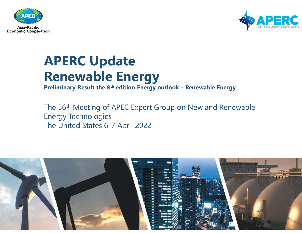



### APERC Update Renewable Energy <sup>tion</sup><br> **PRERC Update**<br> **Preliminary Result the 8<sup>th</sup> edition Energy outlook – Renewable Energy<br>
The 56<sup>th</sup> Meeting of APEC Expert Group on New and Renewable**

The 56th Meeting of APEC Expert Group on New and Renewable Energy Technologies The United States 6-7 April 2022

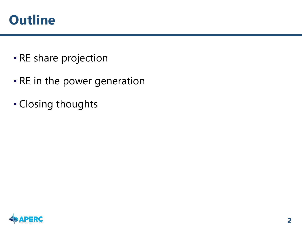#### **Outline**

- **RE share projection**
- **RE in the power generation**
- Closing thoughts

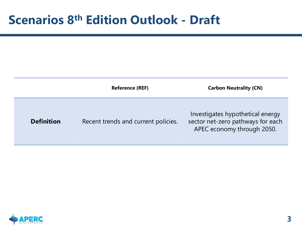# Scenarios 8<sup>th</sup> Edition Outlook - Draft

| <b>Scenarios 8<sup>th</sup> Edition Outlook - Draft</b> |                        |                               |
|---------------------------------------------------------|------------------------|-------------------------------|
|                                                         |                        |                               |
|                                                         |                        |                               |
|                                                         |                        |                               |
|                                                         | <b>Reference (REF)</b> | <b>Carbon Neutrality (CN)</b> |

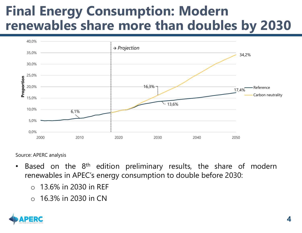#### Final Energy Consumption: Modern renewables share more than doubles by 2030



Source: APERC analysis

- -
	-

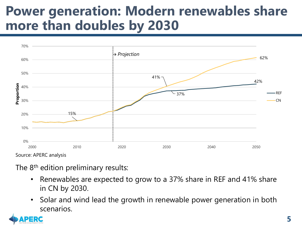#### Power generation: Modern renewables share more than doubles by 2030



Source: APERC analysis

- 
- scenarios.

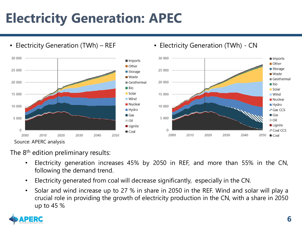#### Electricity Generation: APEC



- 
- 
- 

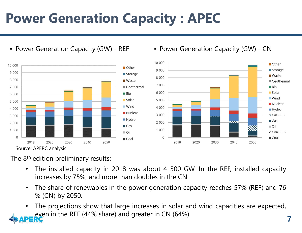## Power Generation Capacity : APEC Power Generation Capacity : APEC<br>
• Power Generation Capacity (GW) - REF • Power Generation Capacity (GW) - CN<br>
■ store → store → store → store → store → store → store → store





- 
- 
-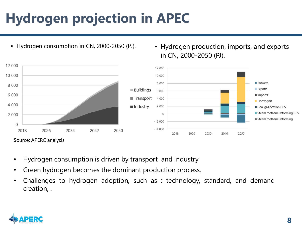#### Hydrogen projection in APEC



in CN, 2000-2050 (PJ).



- 
- 
- 

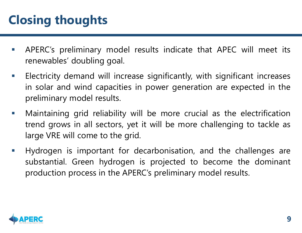#### Closing thoughts

- **Closing thoughts**<br> **APERC's preliminary model results indicate that APEC will meet its**<br> **Electricity demand will increase cignificantly with cignificant increases** Sing thoughts<br>APERC's preliminary model results indicate that APE<br>renewables' doubling goal.<br>Electricity demand will increase significantly, with signi
- **Elosing thoughts**<br> **EXEC**'s preliminary model results indicate that APEC will meet its<br>
renewables' doubling goal.<br> **Exectricity demand will increase significantly, with significant increases**<br>
in solar and wind capacitie **ing thoughts**<br>APERC's preliminary model results indicate that APEC will meet its<br>renewables' doubling goal.<br>Electricity demand will increase significantly, with significant increases<br>in solar and wind capacities in power **Sing thoughts**<br>APERC's preliminary model results indicate that A<br>renewables' doubling goal.<br>Electricity demand will increase significantly, with si<br>in solar and wind capacities in power generation a<br>preliminary model resu **Closing thoughts**<br>
• APERC's preliminary model results indicate that APEC will meet its<br>
renewables' doubling goal.<br>
• Electricity demand will increase significantly, with significant increases<br>
in solar and wind capaciti
- APERC's preliminary model results indicate that APEC will meet its<br>renewables' doubling goal.<br>Electricity demand will increase significantly, with significant increases<br>in solar and wind capacities in power generation are APERC's preliminary model results indicate that APEC will renewables' doubling goal.<br>
Electricity demand will increase significantly, with significan<br>
in solar and wind capacities in power generation are experimentary mode France is important for decarbonisation, and the challenges are substantial. Green hydrogen is the APERC's preliminary model results.<br>
The characteristic substantial for the preliminary model results.<br>
The more crucial as
- Electricity demand will increase significantly, with significant increases<br>in solar and wind capacities in power generation are expected in the<br>preliminary model results.<br>Maintaining grid reliability will be more crucial a Electricity demand will increase significantly, with significant increases<br>in solar and wind capacities in power generation are expected in the<br>preliminary model results.<br>Maintaining grid reliability will be more crucial a